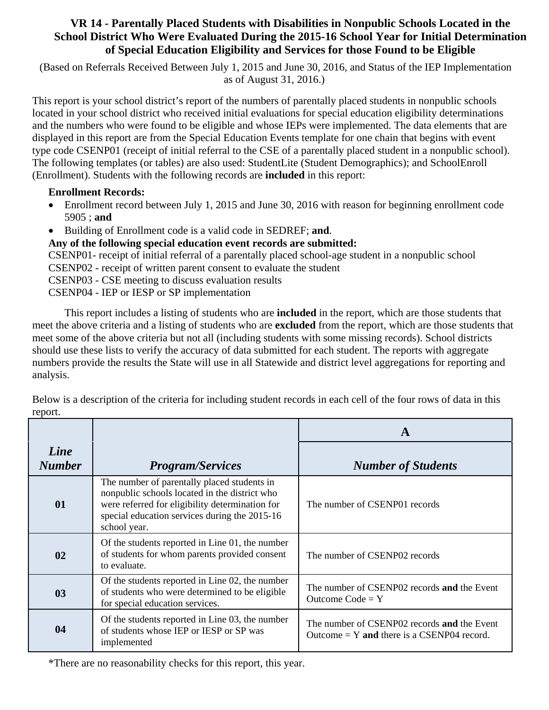## **VR 14 - Parentally Placed Students with Disabilities in Nonpublic Schools Located in the School District Who Were Evaluated During the 2015-16 School Year for Initial Determination of Special Education Eligibility and Services for those Found to be Eligible**

 (Based on Referrals Received Between July 1, 2015 and June 30, 2016, and Status of the IEP Implementation as of August 31, 2016.)

This report is your school district's report of the numbers of parentally placed students in nonpublic schools located in your school district who received initial evaluations for special education eligibility determinations and the numbers who were found to be eligible and whose IEPs were implemented. The data elements that are displayed in this report are from the Special Education Events template for one chain that begins with event type code CSENP01 (receipt of initial referral to the CSE of a parentally placed student in a nonpublic school). The following templates (or tables) are also used: StudentLite (Student Demographics); and SchoolEnroll (Enrollment). Students with the following records are **included** in this report:

## **Enrollment Records:**

- Enrollment record between July 1, 2015 and June 30, 2016 with reason for beginning enrollment code 5905 ; **and**
- Building of Enrollment code is a valid code in SEDREF; **and**.

**Any of the following special education event records are submitted:**

CSENP01- receipt of initial referral of a parentally placed school-age student in a nonpublic school

- CSENP02 receipt of written parent consent to evaluate the student
- CSENP03 CSE meeting to discuss evaluation results
- CSENP04 IEP or IESP or SP implementation

This report includes a listing of students who are **included** in the report, which are those students that meet the above criteria and a listing of students who are **excluded** from the report, which are those students that meet some of the above criteria but not all (including students with some missing records). School districts should use these lists to verify the accuracy of data submitted for each student. The reports with aggregate numbers provide the results the State will use in all Statewide and district level aggregations for reporting and analysis.

|                       |                                                                                                                                                                                                                  | A                                                                                           |  |
|-----------------------|------------------------------------------------------------------------------------------------------------------------------------------------------------------------------------------------------------------|---------------------------------------------------------------------------------------------|--|
| Line<br><b>Number</b> | <b>Program/Services</b>                                                                                                                                                                                          | <b>Number of Students</b>                                                                   |  |
| 01                    | The number of parentally placed students in<br>nonpublic schools located in the district who<br>were referred for eligibility determination for<br>special education services during the 2015-16<br>school year. | The number of CSENP01 records                                                               |  |
| 02                    | Of the students reported in Line 01, the number<br>of students for whom parents provided consent<br>to evaluate.                                                                                                 | The number of CSENP02 records                                                               |  |
| 03                    | Of the students reported in Line 02, the number<br>of students who were determined to be eligible<br>for special education services.                                                                             | The number of CSENP02 records and the Event<br>Outcome $Code = Y$                           |  |
| 04                    | Of the students reported in Line 03, the number<br>of students whose IEP or IESP or SP was<br>implemented                                                                                                        | The number of CSENP02 records and the Event<br>Outcome $= Y$ and there is a CSENP04 record. |  |

Below is a description of the criteria for including student records in each cell of the four rows of data in this report.

\*There are no reasonability checks for this report, this year.